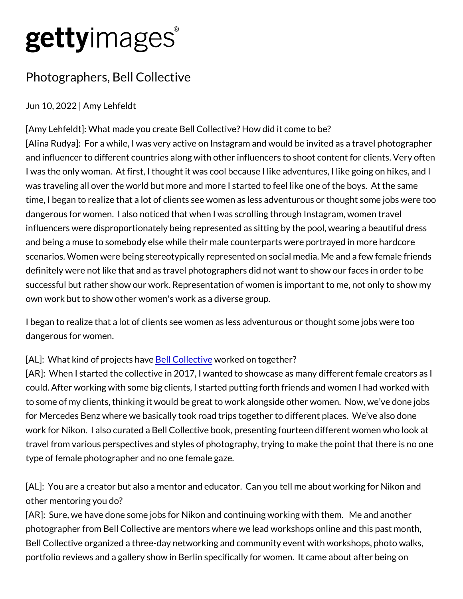# gettyimages®

## Photographers, Bell Collective

Jun 10, 2022 | Amy Lehfeldt

[Amy Lehfeldt]: What made you create Bell Collective? How did it c [Alina Rudya]: For a while, I was very active on Instagram and would and influencer to different countries along with other influencers to I was the only woman. At first, I thought it was cool because I like was traveling all over the world but more and more I started to feel time, I began to realize that a lot of clients see women as less adv dangerous for women. I also noticed that when I was scrolling thro influencers were disproportionately being represented as sitting by and being a muse to somebody else while their male counterparts w scenarios. Women were being stereotypically represented on social definitely were not like that and as travel photographers did not wa successful but rather show our work. Representation of women is in own work but to show other women's work as a diverse group.

I began to realize that a lot of clients see women as less adventure dangerous for women.

 $[AL]$ : What kind of pBroplie Ctos heave betweed on to gether?

 $[AR]$ : When I started the collective in 2017, I wanted to showcase could. After working with some big clients, I started putting forth from to some of my clients, thinking it would be great to work alongside for Mercedes Benz where we basically took road trips together to d work for Nikon. I also curated a Bell Collective book, presenting found travel from various perspectives and styles of photography, trying to type of female photographer and no one female gaze.

[AL]: You are a creator but also a mentor and educator. Can you t other mentoring you do?

[AR]: Sure, we have done some jobs for Nikon and continuing work photographer from Bell Collective are mentors where we lead works Bell Collective organized a three-day networking and community ev portfolio reviews and a gallery show in Berlin specifically for wome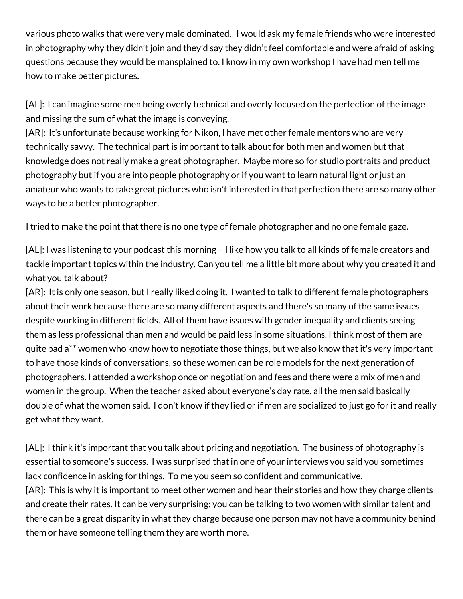various photo walks that were very male dominated. I would ask my female friends who were interested in photography why they didn't join and they'd say they didn't feel comfortable and were afraid of asking questions because they would be mansplained to. I know in my own workshop I have had men tell me how to make better pictures.

[AL]: I can imagine some men being overly technical and overly focused on the perfection of the image and missing the sum of what the image is conveying.

[AR]: It's unfortunate because working for Nikon, I have met other female mentors who are very technically savvy. The technical part is important to talk about for both men and women but that knowledge does not really make a great photographer. Maybe more so for studio portraits and product photography but if you are into people photography or if you want to learn natural light or just an amateur who wants to take great pictures who isn't interested in that perfection there are so many other ways to be a better photographer.

I tried to make the point that there is no one type of female photographer and no one female gaze.

[AL]: I was listening to your podcast this morning – I like how you talk to all kinds of female creators and tackle important topics within the industry. Can you tell me a little bit more about why you created it and what you talk about?

[AR]: It is only one season, but I really liked doing it. I wanted to talk to different female photographers about their work because there are so many different aspects and there's so many of the same issues despite working in different fields. All of them have issues with gender inequality and clients seeing them as less professional than men and would be paid less in some situations. I think most of them are quite bad a\*\* women who know how to negotiate those things, but we also know that it's very important to have those kinds of conversations, so these women can be role models for the next generation of photographers. I attended a workshop once on negotiation and fees and there were a mix of men and women in the group. When the teacher asked about everyone's day rate, all the men said basically double of what the women said. I don't know if they lied or if men are socialized to just go for it and really get what they want.

[AL]: I think it's important that you talk about pricing and negotiation. The business of photography is essential to someone's success. I was surprised that in one of your interviews you said you sometimes lack confidence in asking for things. To me you seem so confident and communicative. [AR]: This is why it is important to meet other women and hear their stories and how they charge clients and create their rates. It can be very surprising; you can be talking to two women with similar talent and there can be a great disparity in what they charge because one person may not have a community behind them or have someone telling them they are worth more.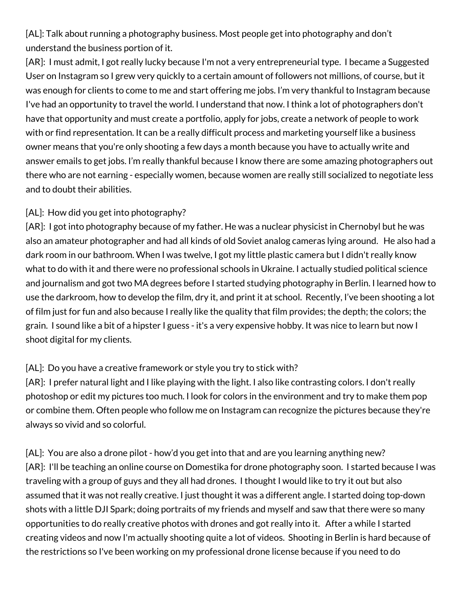[AL]: Talk about running a photography business. Most people get into photography and don't understand the business portion of it.

[AR]: I must admit, I got really lucky because I'm not a very entrepreneurial type. I became a Suggested User on Instagram so I grew very quickly to a certain amount of followers not millions, of course, but it was enough for clients to come to me and start offering me jobs. I'm very thankful to Instagram because I've had an opportunity to travel the world. I understand that now. I think a lot of photographers don't have that opportunity and must create a portfolio, apply for jobs, create a network of people to work with or find representation. It can be a really difficult process and marketing yourself like a business owner means that you're only shooting a few days a month because you have to actually write and answer emails to get jobs. I'm really thankful because I know there are some amazing photographers out there who are not earning - especially women, because women are really still socialized to negotiate less and to doubt their abilities.

### [AL]: How did you get into photography?

[AR]: I got into photography because of my father. He was a nuclear physicist in Chernobyl but he was also an amateur photographer and had all kinds of old Soviet analog cameras lying around. He also had a dark room in our bathroom. When I was twelve, I got my little plastic camera but I didn't really know what to do with it and there were no professional schools in Ukraine. I actually studied political science and journalism and got two MA degrees before I started studying photography in Berlin. I learned how to use the darkroom, how to develop the film, dry it, and print it at school. Recently, I've been shooting a lot of film just for fun and also because I really like the quality that film provides; the depth; the colors; the grain. I sound like a bit of a hipster I guess - it's a very expensive hobby. It was nice to learn but now I shoot digital for my clients.

### [AL]: Do you have a creative framework or style you try to stick with?

[AR]: I prefer natural light and I like playing with the light. I also like contrasting colors. I don't really photoshop or edit my pictures too much. I look for colors in the environment and try to make them pop or combine them. Often people who follow me on Instagram can recognize the pictures because they're always so vivid and so colorful.

[AL]: You are also a drone pilot - how'd you get into that and are you learning anything new? [AR]: I'll be teaching an online course on Domestika for drone photography soon. I started because I was traveling with a group of guys and they all had drones. I thought I would like to try it out but also assumed that it was not really creative. I just thought it was a different angle. I started doing top-down shots with a little DJI Spark; doing portraits of my friends and myself and saw that there were so many opportunities to do really creative photos with drones and got really into it. After a while I started creating videos and now I'm actually shooting quite a lot of videos. Shooting in Berlin is hard because of the restrictions so I've been working on my professional drone license because if you need to do